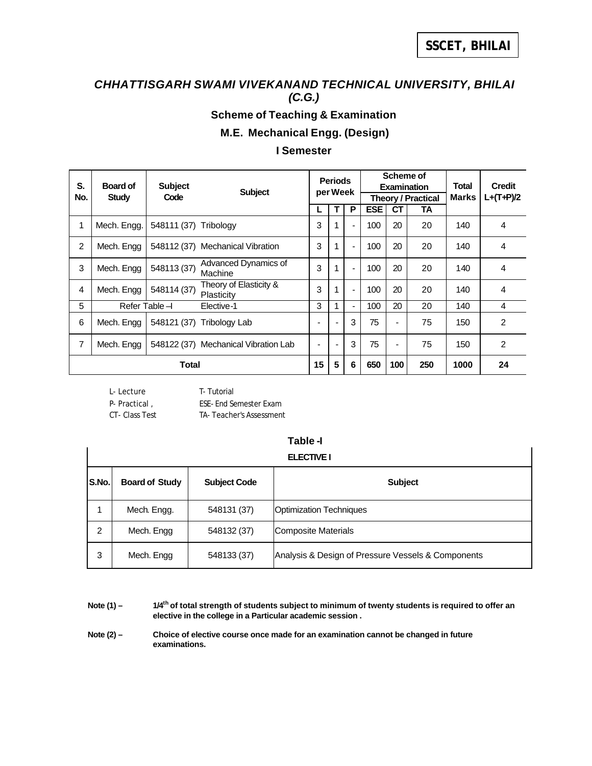## *CHHATTISGARH SWAMI VIVEKANAND TECHNICAL UNIVERSITY, BHILAI (C.G.)*

## **Scheme of Teaching & Examination**

**M.E. Mechanical Engg. (Design)**

#### **I Semester**

| S.  | Board of     | <b>Subject</b>  | <b>Subject</b>                       | <b>Periods</b><br>per Week |   |                          |            | Scheme of | <b>Examination</b>        | <b>Total</b> | <b>Credit</b>  |
|-----|--------------|-----------------|--------------------------------------|----------------------------|---|--------------------------|------------|-----------|---------------------------|--------------|----------------|
| No. | <b>Study</b> | Code            |                                      |                            |   |                          |            |           | <b>Theory / Practical</b> | Marks        | $L+(T+P)/2$    |
|     |              |                 |                                      |                            | т | P                        | <b>ESE</b> | СT        | TA                        |              |                |
| 1   | Mech. Engg.  | 548111 (37)     | Tribology                            | 3                          | 1 | $\overline{\phantom{a}}$ | 100        | 20        | 20                        | 140          | 4              |
| 2   | Mech. Engg   |                 | 548112 (37) Mechanical Vibration     | 3                          | 1 | $\overline{\phantom{a}}$ | 100        | 20        | 20                        | 140          | 4              |
| 3   | Mech. Engg   | 548113 (37)     | Advanced Dynamics of<br>Machine      | 3                          | 1 | $\blacksquare$           | 100        | 20        | 20                        | 140          | 4              |
| 4   | Mech. Engg   | 548114 (37)     | Theory of Elasticity &<br>Plasticity | 3                          | 1 | $\blacksquare$           | 100        | 20        | 20                        | 140          | $\overline{4}$ |
| 5   |              | Refer Table $-$ | Elective-1                           | 3                          | 1 | $\blacksquare$           | 100        | 20        | 20                        | 140          | 4              |
| 6   | Mech. Engg   | 548121 (37)     | Tribology Lab                        |                            |   | 3                        | 75         | ٠         | 75                        | 150          | 2              |
| 7   | Mech. Engg   |                 | 548122 (37) Mechanical Vibration Lab |                            |   | 3                        | 75         | ٠         | 75                        | 150          | 2              |
|     | Total        |                 |                                      |                            | 5 | 6                        | 650        | 100       | 250                       | 1000         | 24             |

L- Lecture T- Tutorial P- Practical , ESE- End Semester Exam CT- Class Test TA- Teacher's Assessment

# **Table -I**

|       | <b>ELECTIVE I</b>     |                     |                                                    |  |  |  |  |  |  |
|-------|-----------------------|---------------------|----------------------------------------------------|--|--|--|--|--|--|
| S.No. | <b>Board of Study</b> | <b>Subject Code</b> | <b>Subject</b>                                     |  |  |  |  |  |  |
|       | Mech. Engg.           | 548131 (37)         | <b>Optimization Techniques</b>                     |  |  |  |  |  |  |
| 2     | Mech. Engg            | 548132 (37)         | Composite Materials                                |  |  |  |  |  |  |
| 3     | Mech. Engg            | 548133 (37)         | Analysis & Design of Pressure Vessels & Components |  |  |  |  |  |  |

Note (1) –  $1/4$ <sup>th</sup> of total strength of students subject to minimum of twenty students is required to offer an **elective in the college in a Particular academic session .**

Note (2) – Choice of elective course once made for an examination cannot be changed in future **examinations.**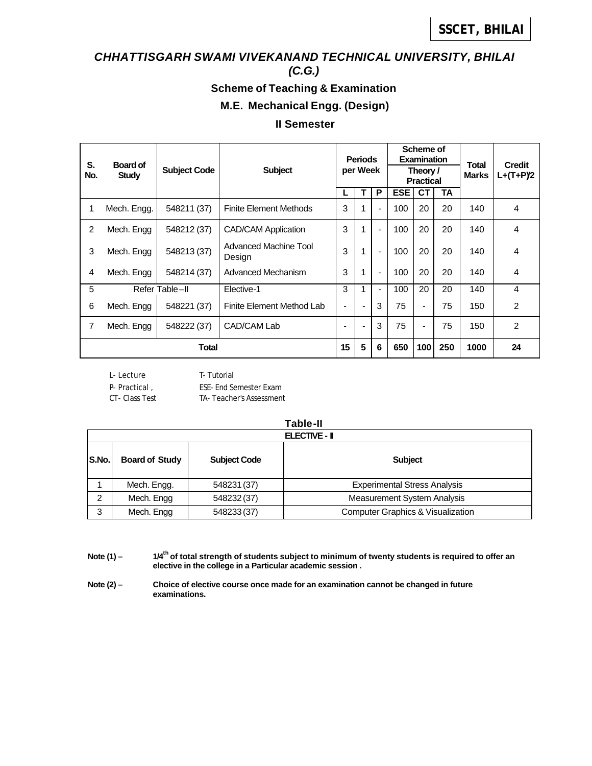## *CHHATTISGARH SWAMI VIVEKANAND TECHNICAL UNIVERSITY, BHILAI*

*(C.G.)*

### **Scheme of Teaching & Examination**

#### **M.E. Mechanical Engg. (Design)**

#### **II Semester**

| S.<br>Board of |              |                     |                                        |                          | <b>Periods</b> |                                              | Scheme of<br><b>Examination</b> |                |           | Total | <b>Credit</b>  |
|----------------|--------------|---------------------|----------------------------------------|--------------------------|----------------|----------------------------------------------|---------------------------------|----------------|-----------|-------|----------------|
| No.            | <b>Study</b> | <b>Subject Code</b> | <b>Subject</b>                         |                          |                | per Week<br><b>Marks</b><br><b>Practical</b> |                                 | Theory /       |           |       | $L+(T+P)2$     |
|                |              |                     |                                        |                          | т              | P                                            | <b>ESE</b>                      | <b>CT</b>      | <b>TA</b> |       |                |
| 1              | Mech. Engg.  | 548211 (37)         | <b>Finite Element Methods</b>          | 3                        | 1              |                                              | 100                             | 20             | 20        | 140   | 4              |
| 2              | Mech. Engg   | 548212 (37)         | <b>CAD/CAM Application</b>             | 3                        | 1              |                                              | 100                             | 20             | 20        | 140   | 4              |
| 3              | Mech. Engg   | 548213 (37)         | <b>Advanced Machine Tool</b><br>Design | 3                        | 1              |                                              | 100                             | 20             | 20        | 140   | 4              |
| 4              | Mech. Engg   | 548214 (37)         | Advanced Mechanism                     | 3                        | 1              |                                              | 100                             | 20             | 20        | 140   | 4              |
| 5              |              | Refer Table-II      | Elective-1                             | 3                        | 1              |                                              | 100                             | 20             | 20        | 140   | 4              |
| 6              | Mech. Engg   | 548221 (37)         | Finite Element Method Lab              | $\overline{\phantom{0}}$ | ۰              | 3                                            | 75                              | $\blacksquare$ | 75        | 150   | 2              |
| 7              | Mech. Engg   | 548222 (37)         | CAD/CAM Lab                            | ٠                        | $\blacksquare$ | 3                                            | 75                              | $\blacksquare$ | 75        | 150   | $\overline{2}$ |
|                | <b>Total</b> |                     |                                        | 15                       | 5              | 6                                            | 650                             | 100            | 250       | 1000  | 24             |

L- Lecture T- Tutorial

P- Practical, ESE- End Semester Exam

CT- Class Test TA- Teacher's Assessment

|       | <b>Table-II</b>       |                     |                                              |  |  |  |  |  |  |
|-------|-----------------------|---------------------|----------------------------------------------|--|--|--|--|--|--|
|       | <b>ELECTIVE - II</b>  |                     |                                              |  |  |  |  |  |  |
| S.No. | <b>Board of Study</b> | <b>Subject Code</b> | <b>Subject</b>                               |  |  |  |  |  |  |
|       | Mech. Engg.           | 548231 (37)         | <b>Experimental Stress Analysis</b>          |  |  |  |  |  |  |
| 2     | Mech. Engg            | 548232 (37)         | <b>Measurement System Analysis</b>           |  |  |  |  |  |  |
| 3     | Mech. Engg            | 548233 (37)         | <b>Computer Graphics &amp; Visualization</b> |  |  |  |  |  |  |

- Note (1) **1/4<sup>th</sup> of total strength of students subject to minimum of twenty students is required to offer an elective in the college in a Particular academic session .**
- Note (2) Choice of elective course once made for an examination cannot be changed in future **examinations.**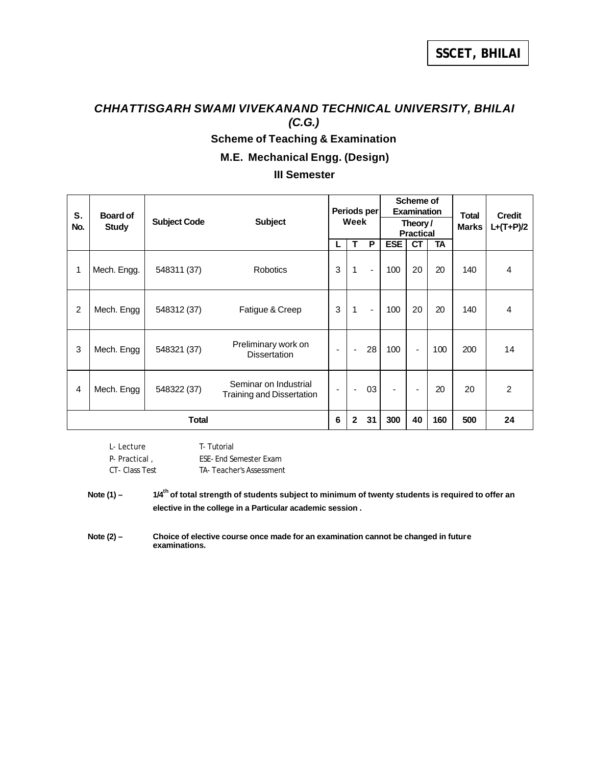# *CHHATTISGARH SWAMI VIVEKANAND TECHNICAL UNIVERSITY, BHILAI (C.G.)* **Scheme of Teaching & Examination**

**M.E. Mechanical Engg. (Design)**

#### **III Semester**

| S.<br>No.      | <b>Board of</b><br><b>Study</b> | <b>Subject Code</b> | <b>Subject</b>                                     | Periods per<br>Week |              |                |                |                          |     |     | Scheme of<br><b>Examination</b><br>Theory /<br><b>Practical</b> |  | <b>Total</b><br><b>Marks</b> | <b>Credit</b><br>$L+(T+P)/2$ |
|----------------|---------------------------------|---------------------|----------------------------------------------------|---------------------|--------------|----------------|----------------|--------------------------|-----|-----|-----------------------------------------------------------------|--|------------------------------|------------------------------|
|                |                                 |                     |                                                    | L                   | т            | P              | <b>ESE</b>     | <b>CT</b>                | TA  |     |                                                                 |  |                              |                              |
| 1              | Mech. Engg.                     | 548311 (37)         | <b>Robotics</b>                                    | 3                   | $\mathbf{1}$ | $\blacksquare$ | 100            | 20                       | 20  | 140 | 4                                                               |  |                              |                              |
| $\overline{2}$ | Mech. Engg                      | 548312 (37)         | Fatigue & Creep                                    | 3                   | $\mathbf{1}$ | $\blacksquare$ | 100            | 20                       | 20  | 140 | 4                                                               |  |                              |                              |
| 3              | Mech. Engg                      | 548321 (37)         | Preliminary work on<br><b>Dissertation</b>         | $\blacksquare$      |              | 28             | 100            | $\blacksquare$           | 100 | 200 | 14                                                              |  |                              |                              |
| 4              | Mech. Engg                      | 548322 (37)         | Seminar on Industrial<br>Training and Dissertation |                     |              | 03             | $\blacksquare$ | $\overline{\phantom{0}}$ | 20  | 20  | 2                                                               |  |                              |                              |
| Total          |                                 |                     | 6                                                  | $\mathbf{2}$        | 31           | 300            | 40             | 160                      | 500 | 24  |                                                                 |  |                              |                              |

| I - Lecture   | <b>T</b> -Tutorial             |
|---------------|--------------------------------|
| P- Practical. | <b>FSF-Fnd Semester Exam</b>   |
| CT-Class Test | <b>TA-Teacher's Assessment</b> |

Note (1) – **1/4<sup>th</sup>** of total strength of students subject to minimum of twenty students is required to offer an **elective in the college in a Particular academic session .**

Note (2) – Choice of elective course once made for an examination cannot be changed in future **examinations.**